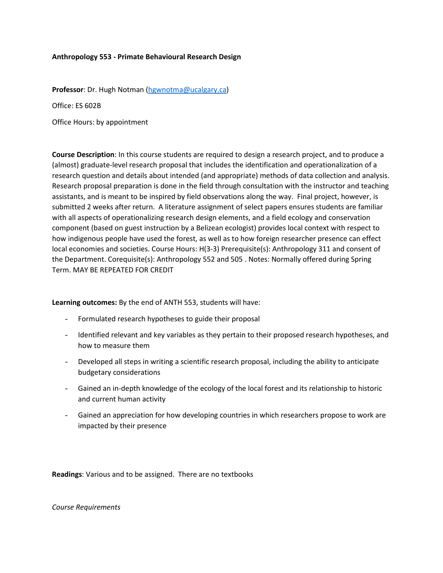#### **Anthropology 553 - Primate Behavioural Research Design**

**Professor**: Dr. Hugh Notman [\(hgwnotma@ucalgary.ca\)](mailto:hgwnotma@ucalgary.ca)

Office: ES 602B

Office Hours: by appointment

**Course Description**: In this course students are required to design a research project, and to produce a (almost) graduate-level research proposal that includes the identification and operationalization of a research question and details about intended (and appropriate) methods of data collection and analysis. Research proposal preparation is done in the field through consultation with the instructor and teaching assistants, and is meant to be inspired by field observations along the way. Final project, however, is submitted 2 weeks after return. A literature assignment of select papers ensures students are familiar with all aspects of operationalizing research design elements, and a field ecology and conservation component (based on guest instruction by a Belizean ecologist) provides local context with respect to how indigenous people have used the forest, as well as to how foreign researcher presence can effect local economies and societies. Course Hours: H(3-3) Prerequisite(s): Anthropology 311 and consent of the Department. Corequisite(s): Anthropology 552 and 505 . Notes: Normally offered during Spring Term. MAY BE REPEATED FOR CREDIT

**Learning outcomes:** By the end of ANTH 553, students will have:

- Formulated research hypotheses to guide their proposal
- Identified relevant and key variables as they pertain to their proposed research hypotheses, and how to measure them
- Developed all steps in writing a scientific research proposal, including the ability to anticipate budgetary considerations
- Gained an in-depth knowledge of the ecology of the local forest and its relationship to historic and current human activity
- Gained an appreciation for how developing countries in which researchers propose to work are impacted by their presence

**Readings**: Various and to be assigned. There are no textbooks

*Course Requirements*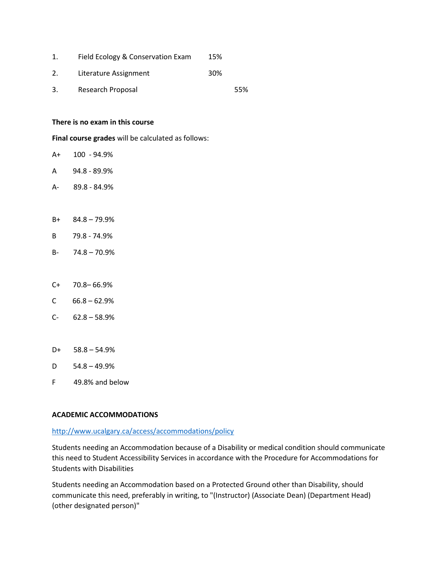|    | Field Ecology & Conservation Exam | 15% |     |
|----|-----------------------------------|-----|-----|
| 2. | Literature Assignment             | 30% |     |
| 3. | Research Proposal                 |     | 55% |

#### **There is no exam in this course**

**Final course grades** will be calculated as follows:

- A+ 100 94.9%
- A 94.8 89.9%
- A- 89.8 84.9%
- B+ 84.8 79.9%
- B 79.8 74.9%
- B- 74.8 70.9%
- C+ 70.8– 66.9%
- $C = 66.8 62.9%$
- $C- 62.8 58.9%$
- $D+ 58.8 54.9%$
- $D = 54.8 49.9%$
- F 49.8% and below

#### **ACADEMIC ACCOMMODATIONS**

#### <http://www.ucalgary.ca/access/accommodations/policy>

Students needing an Accommodation because of a Disability or medical condition should communicate this need to Student Accessibility Services in accordance with the Procedure for Accommodations for Students with Disabilities

Students needing an Accommodation based on a Protected Ground other than Disability, should communicate this need, preferably in writing, to "(Instructor) (Associate Dean) (Department Head) (other designated person)"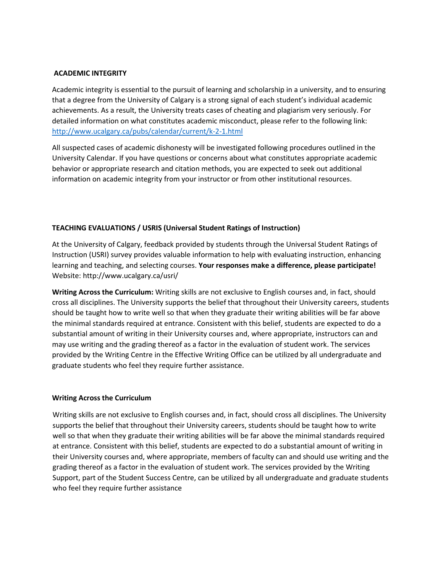### **ACADEMIC INTEGRITY**

Academic integrity is essential to the pursuit of learning and scholarship in a university, and to ensuring that a degree from the University of Calgary is a strong signal of each student's individual academic achievements. As a result, the University treats cases of cheating and plagiarism very seriously. For detailed information on what constitutes academic misconduct, please refer to the following link: <http://www.ucalgary.ca/pubs/calendar/current/k-2-1.html>

All suspected cases of academic dishonesty will be investigated following procedures outlined in the University Calendar. If you have questions or concerns about what constitutes appropriate academic behavior or appropriate research and citation methods, you are expected to seek out additional information on academic integrity from your instructor or from other institutional resources.

# **TEACHING EVALUATIONS / USRIS (Universal Student Ratings of Instruction)**

At the University of Calgary, feedback provided by students through the Universal Student Ratings of Instruction (USRI) survey provides valuable information to help with evaluating instruction, enhancing learning and teaching, and selecting courses. **Your responses make a difference, please participate!** Website: http://www.ucalgary.ca/usri/

**Writing Across the Curriculum:** Writing skills are not exclusive to English courses and, in fact, should cross all disciplines. The University supports the belief that throughout their University careers, students should be taught how to write well so that when they graduate their writing abilities will be far above the minimal standards required at entrance. Consistent with this belief, students are expected to do a substantial amount of writing in their University courses and, where appropriate, instructors can and may use writing and the grading thereof as a factor in the evaluation of student work. The services provided by the Writing Centre in the Effective Writing Office can be utilized by all undergraduate and graduate students who feel they require further assistance.

## **Writing Across the Curriculum**

Writing skills are not exclusive to English courses and, in fact, should cross all disciplines. The University supports the belief that throughout their University careers, students should be taught how to write well so that when they graduate their writing abilities will be far above the minimal standards required at entrance. Consistent with this belief, students are expected to do a substantial amount of writing in their University courses and, where appropriate, members of faculty can and should use writing and the grading thereof as a factor in the evaluation of student work. The services provided by the Writing Support, part of the Student Success Centre, can be utilized by all undergraduate and graduate students who feel they require further assistance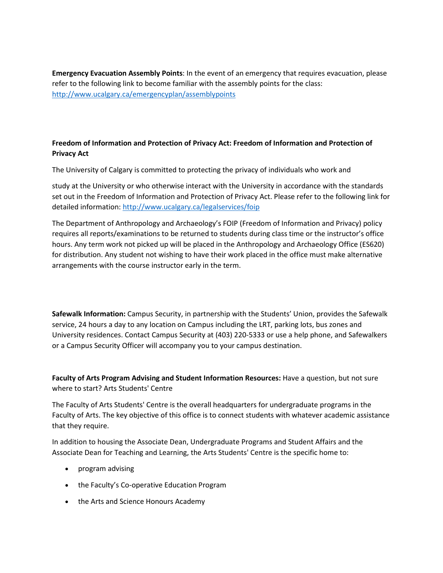**Emergency Evacuation Assembly Points**: In the event of an emergency that requires evacuation, please refer to the following link to become familiar with the assembly points for the class: <http://www.ucalgary.ca/emergencyplan/assemblypoints>

# **Freedom of Information and Protection of Privacy Act: Freedom of Information and Protection of Privacy Act**

The University of Calgary is committed to protecting the privacy of individuals who work and

study at the University or who otherwise interact with the University in accordance with the standards set out in the Freedom of Information and Protection of Privacy Act. Please refer to the following link for detailed information[: http://www.ucalgary.ca/legalservices/foip](http://www.ucalgary.ca/legalservices/foip)

The Department of Anthropology and Archaeology's FOIP (Freedom of Information and Privacy) policy requires all reports/examinations to be returned to students during class time or the instructor's office hours. Any term work not picked up will be placed in the Anthropology and Archaeology Office (ES620) for distribution. Any student not wishing to have their work placed in the office must make alternative arrangements with the course instructor early in the term.

**Safewalk Information:** Campus Security, in partnership with the Students' Union, provides the Safewalk service, 24 hours a day to any location on Campus including the LRT, parking lots, bus zones and University residences. Contact Campus Security at (403) 220-5333 or use a help phone, and Safewalkers or a Campus Security Officer will accompany you to your campus destination.

**Faculty of Arts Program Advising and Student Information Resources:** Have a question, but not sure where to start? Arts Students' Centre

The Faculty of Arts Students' Centre is the overall headquarters for undergraduate programs in the Faculty of Arts. The key objective of this office is to connect students with whatever academic assistance that they require.

In addition to housing the Associate Dean, Undergraduate Programs and Student Affairs and the Associate Dean for Teaching and Learning, the Arts Students' Centre is the specific home to:

- program advising
- the Faculty's Co-operative Education Program
- the Arts and Science Honours Academy